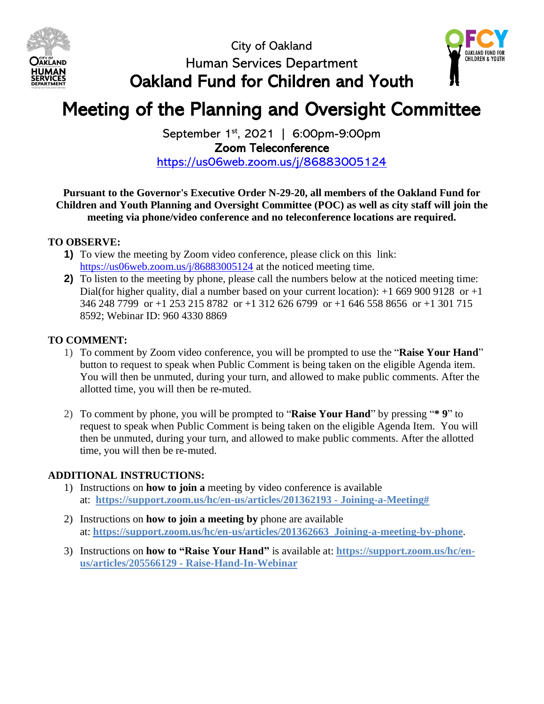





## Meeting of the Planning and Oversight Committee

September 1<sup>st</sup>, 2021 | 6:00pm-9:00pm Zoom Teleconference <https://us06web.zoom.us/j/86883005124>

**Pursuant to the Governor's Executive Order N-29-20, all members of the Oakland Fund for Children and Youth Planning and Oversight Committee (POC) as well as city staff will join the meeting via phone/video conference and no teleconference locations are required.**

#### **TO OBSERVE:**

- **1)** To view the meeting by Zoom video conference, please click on this link: <https://us06web.zoom.us/j/86883005124> at the noticed meeting time.
- **2)** To listen to the meeting by phone, please call the numbers below at the noticed meeting time: Dial(for higher quality, dial a number based on your current location):  $+1$  669 900 9128 or  $+1$ 346 248 7799 or +1 253 215 8782 or +1 312 626 6799 or +1 646 558 8656 or +1 301 715 8592; Webinar ID: 960 4330 8869

#### **TO COMMENT:**

- 1) To comment by Zoom video conference, you will be prompted to use the "**Raise Your Hand**" button to request to speak when Public Comment is being taken on the eligible Agenda item. You will then be unmuted, during your turn, and allowed to make public comments. After the allotted time, you will then be re-muted.
- 2) To comment by phone, you will be prompted to "**Raise Your Hand**" by pressing "**\* 9**" to request to speak when Public Comment is being taken on the eligible Agenda Item. You will then be unmuted, during your turn, and allowed to make public comments. After the allotted time, you will then be re-muted.

#### **ADDITIONAL INSTRUCTIONS:**

- 1) Instructions on **how to join a** meeting by video conference is available at: **<https://support.zoom.us/hc/en-us/articles/201362193> - Joining-a-Meeting#**
- 2) Instructions on **how to join a meeting by** phone are available at: **<https://support.zoom.us/hc/en-us/articles/201362663> Joining-a-meeting-by-phone**.
- 3) Instructions on **how to "Raise Your Hand"** is available at: **[https://support.zoom.us/hc/en](https://support.zoom.us/hc/en-us/articles/205566129)[us/articles/205566129](https://support.zoom.us/hc/en-us/articles/205566129) - Raise-Hand-In-Webinar**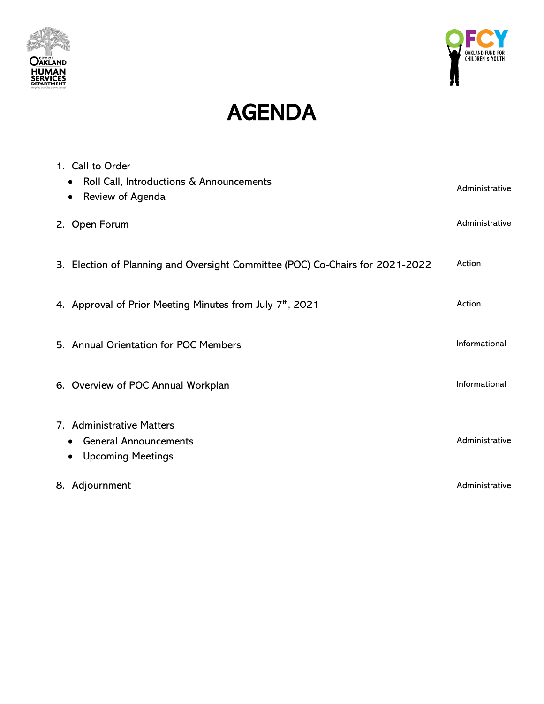



# AGENDA

| 1. Call to Order<br>Roll Call, Introductions & Announcements<br>$\bullet$<br>Review of Agenda<br>$\bullet$ | Administrative |
|------------------------------------------------------------------------------------------------------------|----------------|
| 2. Open Forum                                                                                              | Administrative |
| 3. Election of Planning and Oversight Committee (POC) Co-Chairs for 2021-2022                              | Action         |
| 4. Approval of Prior Meeting Minutes from July 7 <sup>th</sup> , 2021                                      | Action         |
| 5. Annual Orientation for POC Members                                                                      | Informational  |
| 6. Overview of POC Annual Workplan                                                                         | Informational  |
| 7. Administrative Matters                                                                                  |                |
| <b>General Announcements</b><br>٠                                                                          | Administrative |
| <b>Upcoming Meetings</b><br>$\bullet$                                                                      |                |
| 8. Adjournment                                                                                             | Administrative |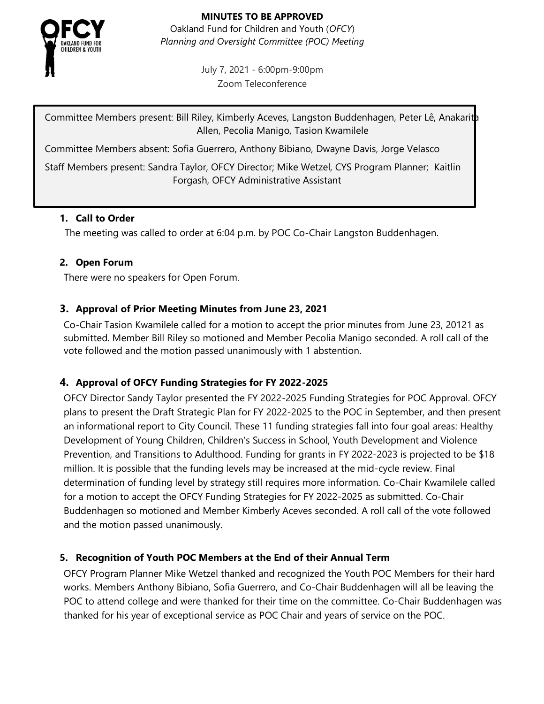

**MINUTES TO BE APPROVED** Oakland Fund for Children and Youth (*OFCY*) *Planning and Oversight Committee (POC) Meeting*

> July 7, 2021 - 6:00pm-9:00pm Zoom Teleconference

Committee Members present: Bill Riley, Kimberly Aceves, Langston Buddenhagen, Peter Lê, Anakarith Allen, Pecolia Manigo, Tasion Kwamilele

Committee Members absent: Sofia Guerrero, Anthony Bibiano, Dwayne Davis, Jorge Velasco

Staff Members present: Sandra Taylor, OFCY Director; Mike Wetzel, CYS Program Planner; Kaitlin Forgash, OFCY Administrative Assistant

#### **1. Call to Order**

The meeting was called to order at 6:04 p.m. by POC Co-Chair Langston Buddenhagen.

#### **2. Open Forum**

There were no speakers for Open Forum.

#### **3. Approval of Prior Meeting Minutes from June 23, 2021**

Co-Chair Tasion Kwamilele called for a motion to accept the prior minutes from June 23, 20121 as submitted. Member Bill Riley so motioned and Member Pecolia Manigo seconded. A roll call of the vote followed and the motion passed unanimously with 1 abstention.

#### **4. Approval of OFCY Funding Strategies for FY 2022-2025**

OFCY Director Sandy Taylor presented the FY 2022-2025 Funding Strategies for POC Approval. OFCY plans to present the Draft Strategic Plan for FY 2022-2025 to the POC in September, and then present an informational report to City Council. These 11 funding strategies fall into four goal areas: Healthy Development of Young Children, Children's Success in School, Youth Development and Violence Prevention, and Transitions to Adulthood. Funding for grants in FY 2022-2023 is projected to be \$18 million. It is possible that the funding levels may be increased at the mid-cycle review. Final determination of funding level by strategy still requires more information. Co-Chair Kwamilele called for a motion to accept the OFCY Funding Strategies for FY 2022-2025 as submitted. Co-Chair Buddenhagen so motioned and Member Kimberly Aceves seconded. A roll call of the vote followed and the motion passed unanimously.

#### **5. Recognition of Youth POC Members at the End of their Annual Term**

OFCY Program Planner Mike Wetzel thanked and recognized the Youth POC Members for their hard works. Members Anthony Bibiano, Sofia Guerrero, and Co-Chair Buddenhagen will all be leaving the POC to attend college and were thanked for their time on the committee. Co-Chair Buddenhagen was thanked for his year of exceptional service as POC Chair and years of service on the POC.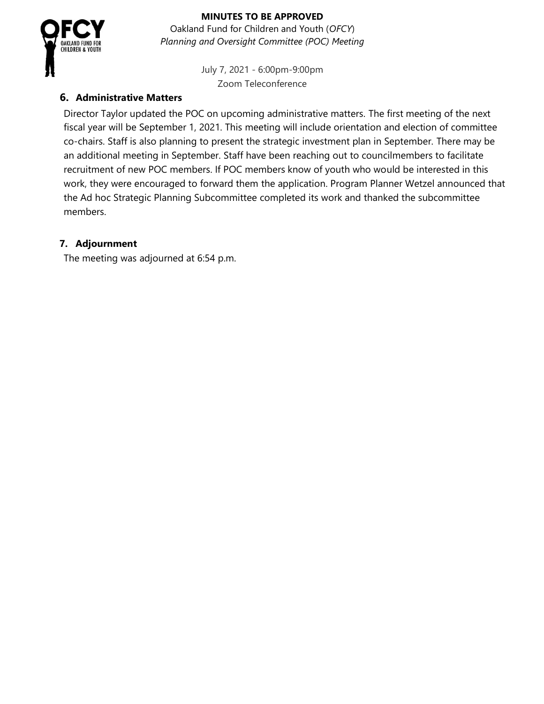

#### **MINUTES TO BE APPROVED**

Oakland Fund for Children and Youth (*OFCY*) *Planning and Oversight Committee (POC) Meeting*

> July 7, 2021 - 6:00pm-9:00pm Zoom Teleconference

#### **6. Administrative Matters**

Director Taylor updated the POC on upcoming administrative matters. The first meeting of the next fiscal year will be September 1, 2021. This meeting will include orientation and election of committee co-chairs. Staff is also planning to present the strategic investment plan in September. There may be an additional meeting in September. Staff have been reaching out to councilmembers to facilitate recruitment of new POC members. If POC members know of youth who would be interested in this work, they were encouraged to forward them the application. Program Planner Wetzel announced that the Ad hoc Strategic Planning Subcommittee completed its work and thanked the subcommittee members.

#### **7. Adjournment**

The meeting was adjourned at 6:54 p.m.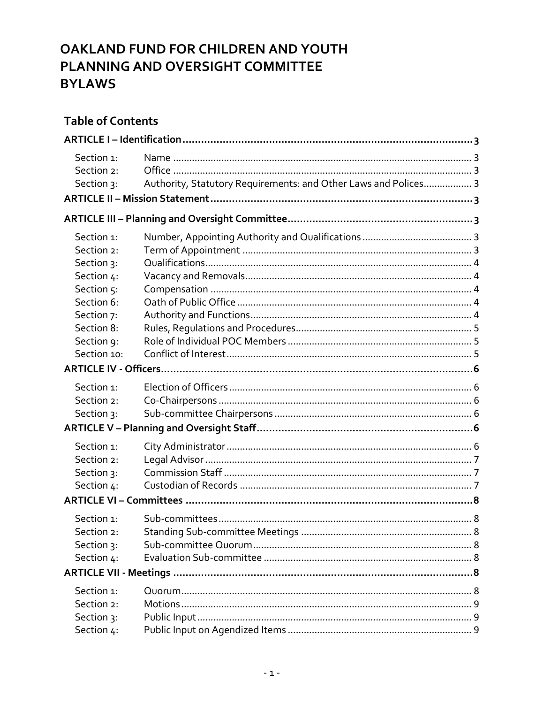## OAKLAND FUND FOR CHILDREN AND YOUTH PLANNING AND OVERSIGHT COMMITTEE **BYLAWS**

## **Table of Contents**

| Section 1:  |                                                                 |  |  |  |  |  |
|-------------|-----------------------------------------------------------------|--|--|--|--|--|
| Section 2:  |                                                                 |  |  |  |  |  |
| Section 3:  | Authority, Statutory Requirements: and Other Laws and Polices 3 |  |  |  |  |  |
|             |                                                                 |  |  |  |  |  |
|             |                                                                 |  |  |  |  |  |
| Section 1:  |                                                                 |  |  |  |  |  |
| Section 2:  |                                                                 |  |  |  |  |  |
| Section 3:  |                                                                 |  |  |  |  |  |
| Section 4:  |                                                                 |  |  |  |  |  |
| Section 5:  |                                                                 |  |  |  |  |  |
| Section 6:  |                                                                 |  |  |  |  |  |
| Section 7:  |                                                                 |  |  |  |  |  |
| Section 8:  |                                                                 |  |  |  |  |  |
| Section 9:  |                                                                 |  |  |  |  |  |
| Section 10: |                                                                 |  |  |  |  |  |
|             |                                                                 |  |  |  |  |  |
| Section 1:  |                                                                 |  |  |  |  |  |
| Section 2:  |                                                                 |  |  |  |  |  |
| Section 3:  |                                                                 |  |  |  |  |  |
|             |                                                                 |  |  |  |  |  |
| Section 1:  |                                                                 |  |  |  |  |  |
| Section 2:  |                                                                 |  |  |  |  |  |
| Section 3:  |                                                                 |  |  |  |  |  |
| Section 4:  |                                                                 |  |  |  |  |  |
|             |                                                                 |  |  |  |  |  |
| Section 1:  |                                                                 |  |  |  |  |  |
| Section 2:  |                                                                 |  |  |  |  |  |
| Section 3:  |                                                                 |  |  |  |  |  |
| Section 4:  |                                                                 |  |  |  |  |  |
|             |                                                                 |  |  |  |  |  |
| Section 1:  |                                                                 |  |  |  |  |  |
| Section 2:  |                                                                 |  |  |  |  |  |
| Section 3:  |                                                                 |  |  |  |  |  |
| Section 4:  |                                                                 |  |  |  |  |  |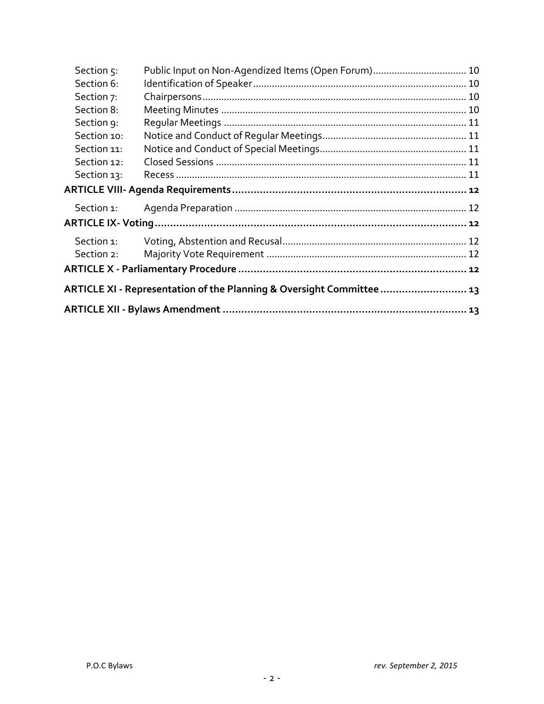| Section 5:                                                            | Public Input on Non-Agendized Items (Open Forum) 10 |  |  |  |  |
|-----------------------------------------------------------------------|-----------------------------------------------------|--|--|--|--|
| Section 6:                                                            |                                                     |  |  |  |  |
| Section 7:                                                            |                                                     |  |  |  |  |
| Section 8:                                                            |                                                     |  |  |  |  |
| Section 9:                                                            |                                                     |  |  |  |  |
| Section 10:                                                           |                                                     |  |  |  |  |
| Section 11:                                                           |                                                     |  |  |  |  |
| Section 12:                                                           |                                                     |  |  |  |  |
| Section 13:                                                           |                                                     |  |  |  |  |
|                                                                       |                                                     |  |  |  |  |
| Section 1:                                                            |                                                     |  |  |  |  |
|                                                                       |                                                     |  |  |  |  |
| Section 1:                                                            |                                                     |  |  |  |  |
| Section 2:                                                            |                                                     |  |  |  |  |
|                                                                       |                                                     |  |  |  |  |
| ARTICLE XI - Representation of the Planning & Oversight Committee  13 |                                                     |  |  |  |  |
|                                                                       |                                                     |  |  |  |  |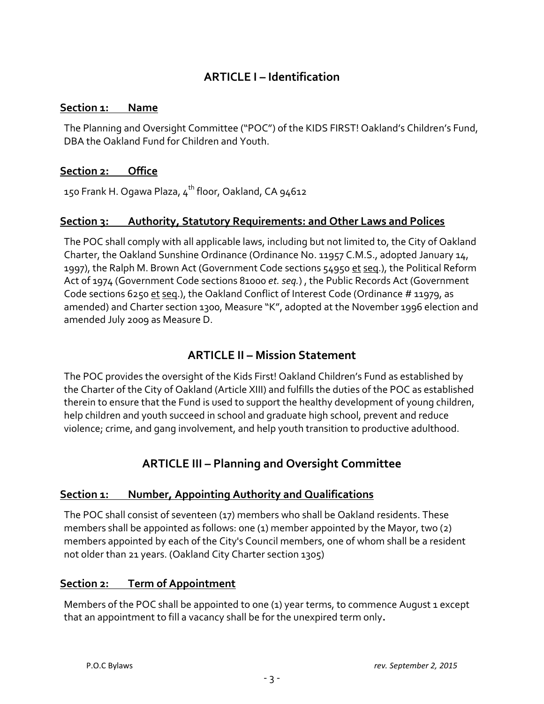## **ARTICLE I – Identification**

#### <span id="page-6-1"></span><span id="page-6-0"></span>**Section 1: Name**

The Planning and Oversight Committee ("POC") of the KIDS FIRST! Oakland's Children's Fund, DBA the Oakland Fund for Children and Youth.

#### <span id="page-6-2"></span>**Section 2: Office**

150 Frank H. Ogawa Plaza,  $4^{\text{th}}$  floor, Oakland, CA 94612

#### <span id="page-6-3"></span>**Section 3: Authority, Statutory Requirements: and Other Laws and Polices**

The POC shall comply with all applicable laws, including but not limited to, the City of Oakland Charter, the Oakland Sunshine Ordinance (Ordinance No. 11957 C.M.S., adopted January 14, 1997), the Ralph M. Brown Act (Government Code sections 54950 et seq.), the Political Reform Act of 1974 (Government Code sections 81000 *et. seq.*) , the Public Records Act (Government Code sections 6250 et seq.), the Oakland Conflict of Interest Code (Ordinance # 11979, as amended) and Charter section 1300, Measure "K", adopted at the November 1996 election and amended July 2009 as Measure D.

## **ARTICLE II – Mission Statement**

<span id="page-6-4"></span>The POC provides the oversight of the Kids First! Oakland Children's Fund as established by the Charter of the City of Oakland (Article XIII) and fulfills the duties of the POC as established therein to ensure that the Fund is used to support the healthy development of young children, help children and youth succeed in school and graduate high school, prevent and reduce violence; crime, and gang involvement, and help youth transition to productive adulthood.

## **ARTICLE III – Planning and Oversight Committee**

#### <span id="page-6-6"></span><span id="page-6-5"></span>**Section 1: Number, Appointing Authority and Qualifications**

The POC shall consist of seventeen (17) members who shall be Oakland residents. These members shall be appointed as follows: one (1) member appointed by the Mayor, two (2) members appointed by each of the City's Council members, one of whom shall be a resident not older than 21 years. (Oakland City Charter section 1305)

#### <span id="page-6-7"></span>**Section 2: Term of Appointment**

Members of the POC shall be appointed to one (1) year terms, to commence August 1 except that an appointment to fill a vacancy shall be for the unexpired term only**.**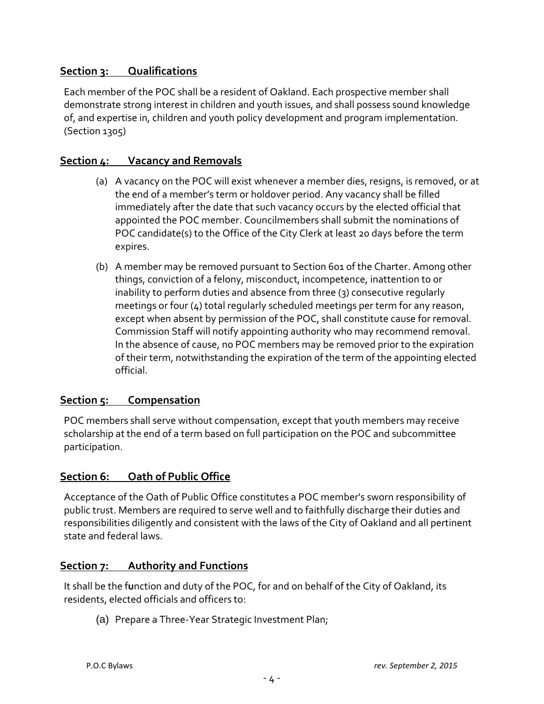#### <span id="page-7-0"></span>**Section 3: Qualifications**

Each member of the POC shall be a resident of Oakland. Each prospective member shall demonstrate strong interest in children and youth issues, and shall possess sound knowledge of, and expertise in, children and youth policy development and program implementation. (Section 1305)

#### <span id="page-7-1"></span>**Section 4: Vacancy and Removals**

- (a) A vacancy on the POC will exist whenever a member dies, resigns, is removed, or at the end of a member's term or holdover period. Any vacancy shall be filled immediately after the date that such vacancy occurs by the elected official that appointed the POC member. Councilmembers shall submit the nominations of POC candidate(s) to the Office of the City Clerk at least 20 days before the term expires.
- (b) A member may be removed pursuant to Section 601 of the Charter. Among other things, conviction of a felony, misconduct, incompetence, inattention to or inability to perform duties and absence from three (3) consecutive regularly meetings or four (4) total regularly scheduled meetings per term for any reason, except when absent by permission of the POC, shall constitute cause for removal. Commission Staff will notify appointing authority who may recommend removal. In the absence of cause, no POC members may be removed prior to the expiration of their term, notwithstanding the expiration of the term of the appointing elected official.

#### <span id="page-7-2"></span>**Section 5: Compensation**

POC members shall serve without compensation, except that youth members may receive scholarship at the end of a term based on full participation on the POC and subcommittee participation.

#### <span id="page-7-3"></span>**Section 6: Oath of Public Office**

Acceptance of the Oath of Public Office constitutes a POC member's sworn responsibility of public trust. Members are required to serve well and to faithfully discharge their duties and responsibilities diligently and consistent with the laws of the City of Oakland and all pertinent state and federal laws.

#### <span id="page-7-4"></span>**Section 7: Authority and Functions**

It shall be the f**u**nction and duty of the POC, for and on behalf of the City of Oakland, its residents, elected officials and officers to:

(a) Prepare a Three-Year Strategic Investment Plan;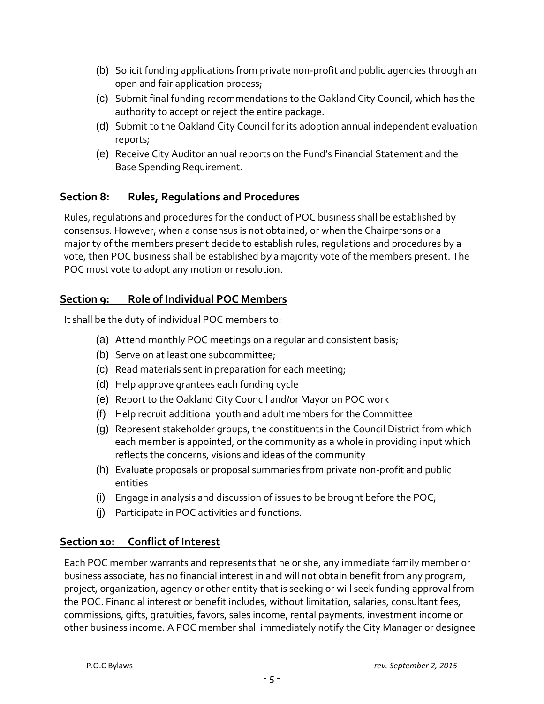- (b) Solicit funding applications from private non-profit and public agencies through an open and fair application process;
- (c) Submit final funding recommendations to the Oakland City Council, which has the authority to accept or reject the entire package.
- (d) Submit to the Oakland City Council for its adoption annual independent evaluation reports;
- (e) Receive City Auditor annual reports on the Fund's Financial Statement and the Base Spending Requirement.

#### <span id="page-8-0"></span>**Section 8: Rules, Regulations and Procedures**

Rules, regulations and procedures for the conduct of POC business shall be established by consensus. However, when a consensus is not obtained, or when the Chairpersons or a majority of the members present decide to establish rules, regulations and procedures by a vote, then POC business shall be established b*y* a majority vote of the members present. The POC must vote to adopt any motion or resolution.

#### <span id="page-8-1"></span>**Section 9: Role of Individual POC Members**

It shall be the duty of individual POC members to:

- (a) Attend monthly POC meetings on a regular and consistent basis;
- (b) Serve on at least one subcommittee;
- (c) Read materials sent in preparation for each meeting;
- (d) Help approve grantees each funding cycle
- (e) Report to the Oakland City Council and/or Mayor on POC work
- (f) Help recruit additional youth and adult members for the Committee
- (g) Represent stakeholder groups, the constituents in the Council District from which each member is appointed, or the community as a whole in providing input which reflects the concerns, visions and ideas of the community
- (h) Evaluate proposals or proposal summaries from private non-profit and public entities
- (i) Engage in analysis and discussion of issues to be brought before the POC;
- (j) Participate in POC activities and functions.

#### <span id="page-8-2"></span>**Section 10: Conflict of Interest**

Each POC member warrants and represents that he or she, any immediate family member or business associate, has no financial interest in and will not obtain benefit from any program, project, organization, agency or other entity that is seeking or will seek funding approval from the POC. Financial interest or benefit includes, without limitation, salaries, consultant fees, commissions, gifts, gratuities, favors, sales income, rental payments, investment income or other business income. A POC member shall immediately notify the City Manager or designee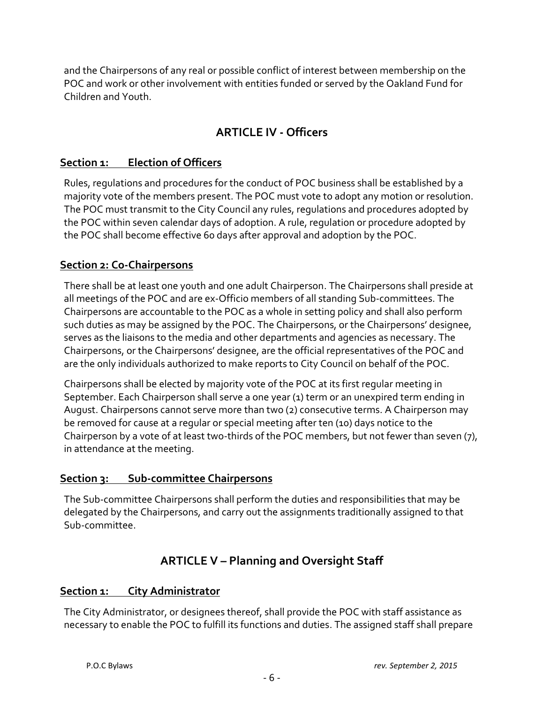<span id="page-9-0"></span>and the Chairpersons of any real or possible conflict of interest between membership on the POC and work or other involvement with entities funded or served by the Oakland Fund for Children and Youth.

## **ARTICLE IV - Officers**

#### <span id="page-9-1"></span>**Section 1: Election of Officers**

Rules, regulations and procedures for the conduct of POC business shall be established by a majority vote of the members present. The POC must vote to adopt any motion or resolution. The POC must transmit to the City Council any rules, regulations and procedures adopted by the POC within seven calendar days of adoption. A rule, regulation or procedure adopted by the POC shall become effective 60 days after approval and adoption by the POC.

#### <span id="page-9-2"></span>**Section 2: Co-Chairpersons**

There shall be at least one youth and one adult Chairperson. The Chairpersons shall preside at all meetings of the POC and are ex-Officio members of all standing Sub-committees. The Chairpersons are accountable to the POC as a whole in setting policy and shall also perform such duties as may be assigned by the POC. The Chairpersons, or the Chairpersons' designee, serves as the liaisons to the media and other departments and agencies as necessary. The Chairpersons, or the Chairpersons' designee, are the official representatives of the POC and are the only individuals authorized to make reports to City Council on behalf of the POC.

Chairpersons shall be elected by majority vote of the POC at its first regular meeting in September. Each Chairperson shall serve a one year (1) term or an unexpired term ending in August. Chairpersons cannot serve more than two (2) consecutive terms. A Chairperson may be removed for cause at a regular or special meeting after ten (10) days notice to the Chairperson by a vote of at least two-thirds of the POC members, but not fewer than seven (7), in attendance at the meeting.

#### <span id="page-9-3"></span>**Section 3: Sub-committee Chairpersons**

<span id="page-9-4"></span>The Sub-committee Chairpersons shall perform the duties and responsibilities that may be delegated by the Chairpersons, and carry out the assignments traditionally assigned to that Sub-committee.

## **ARTICLE V – Planning and Oversight Staff**

#### <span id="page-9-5"></span>**Section 1: City Administrator**

The City Administrator, or designees thereof, shall provide the POC with staff assistance as necessary to enable the POC to fulfill its functions and duties. The assigned staff shall prepare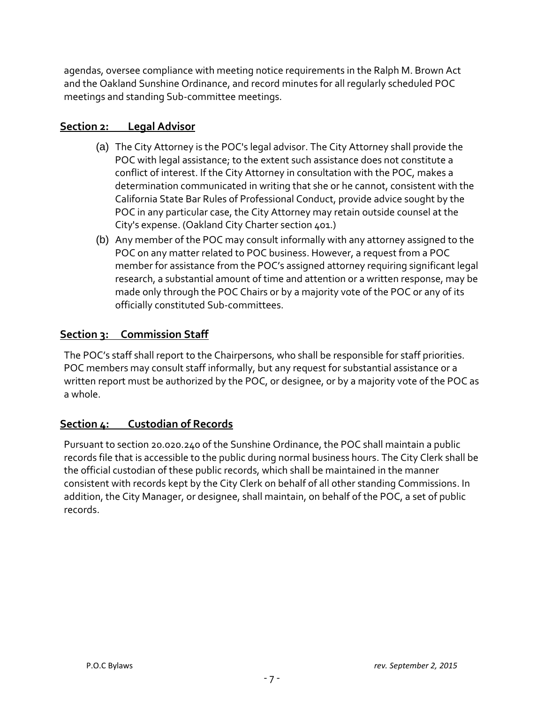agendas, oversee compliance with meeting notice requirements in the Ralph M. Brown Act and the Oakland Sunshine Ordinance, and record minutes for all regularly scheduled POC meetings and standing Sub-committee meetings.

#### <span id="page-10-0"></span>**Section 2: Legal Advisor**

- (a) The City Attorney is the POC's legal advisor. The City Attorney shall provide the POC with legal assistance; to the extent such assistance does not constitute a conflict of interest. If the City Attorney in consultation with the POC, makes a determination communicated in writing that she or he cannot, consistent with the California State Bar Rules of Professional Conduct, provide advice sought by the POC in any particular case, the City Attorney may retain outside counsel at the City's expense. (Oakland City Charter section 401.)
- (b) Any member of the POC may consult informally with any attorney assigned to the POC on any matter related to POC business. However, a request from a POC member for assistance from the POC's assigned attorney requiring significant legal research, a substantial amount of time and attention or a written response, may be made only through the POC Chairs or by a majority vote of the POC or any of its officially constituted Sub-committees.

#### <span id="page-10-1"></span>**Section 3: Commission Staff**

The POC's staff shall report to the Chairpersons, who shall be responsible for staff priorities. POC members may consult staff informally, but any request for substantial assistance or a written report must be authorized by the POC, or designee, or by a majority vote of the POC as a whole.

#### <span id="page-10-2"></span>**Section 4: Custodian of Records**

Pursuant to section 20.020.240 of the Sunshine Ordinance, the POC shall maintain a public records file that is accessible to the public during normal business hours. The City Clerk shall be the official custodian of these public records, which shall be maintained in the manner consistent with records kept by the City Clerk on behalf of all other standing Commissions. In addition, the City Manager, or designee, shall maintain, on behalf of the POC, a set of public records.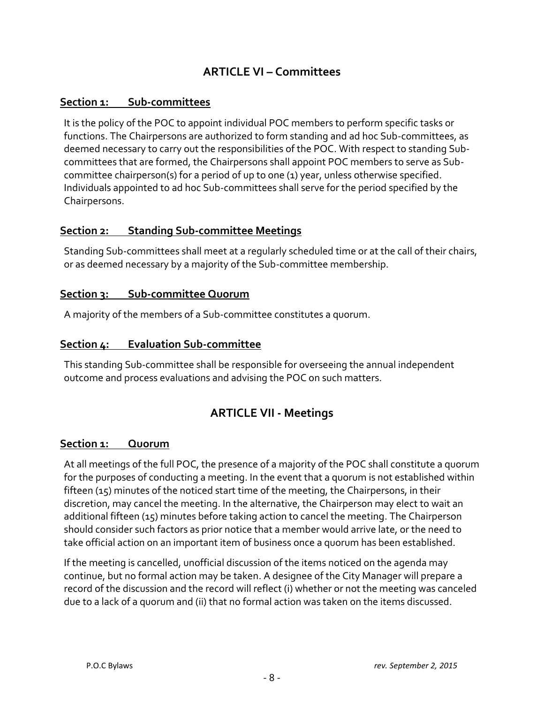## **ARTICLE VI – Committees**

#### <span id="page-11-1"></span><span id="page-11-0"></span>**Section 1: Sub-committees**

It is the policy of the POC to appoint individual POC members to perform specific tasks or functions. The Chairpersons are authorized to form standing and ad hoc Sub-committees, as deemed necessary to carry out the responsibilities of the POC. With respect to standing Subcommittees that are formed, the Chairpersons shall appoint POC members to serve as Subcommittee chairperson(s) for a period of up to one (1) year, unless otherwise specified. Individuals appointed to ad hoc Sub-committees shall serve for the period specified by the Chairpersons.

#### <span id="page-11-2"></span>**Section 2: Standing Sub-committee Meetings**

Standing Sub-committees shall meet at a regularly scheduled time or at the call of their chairs, or as deemed necessary by a majority of the Sub-committee membership.

#### <span id="page-11-3"></span>**Section 3: Sub-committee Quorum**

A majority of the members of a Sub-committee constitutes a quorum.

#### <span id="page-11-4"></span>**Section 4: Evaluation Sub-committee**

<span id="page-11-5"></span>This standing Sub-committee shall be responsible for overseeing the annual independent outcome and process evaluations and advising the POC on such matters.

#### **ARTICLE VII - Meetings**

#### <span id="page-11-6"></span>**Section 1: Quorum**

At all meetings of the full POC, the presence of a majority of the POC shall constitute a quorum for the purposes of conducting a meeting. In the event that a quorum is not established within fifteen (15) minutes of the noticed start time of the meeting, the Chairpersons, in their discretion, may cancel the meeting. In the alternative, the Chairperson may elect to wait an additional fifteen (15) minutes before taking action to cancel the meeting. The Chairperson should consider such factors as prior notice that a member would arrive late, or the need to take official action on an important item of business once a quorum has been established.

If the meeting is cancelled, unofficial discussion of the items noticed on the agenda may continue, but no formal action may be taken. A designee of the City Manager will prepare a record of the discussion and the record will reflect (i) whether or not the meeting was canceled due to a lack of a quorum and (ii) that no formal action was taken on the items discussed.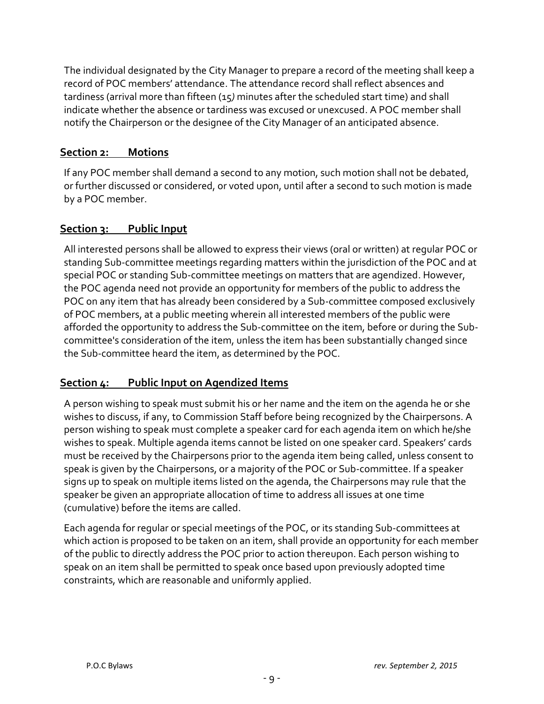The individual designated by the City Manager to prepare a record of the meeting shall keep a record of POC members' attendance. The attendance record shall reflect absences and tardiness (arrival more than fifteen (15*)* minutes after the scheduled start time) and shall indicate whether the absence or tardiness was excused or unexcused. A POC member shall notify the Chairperson or the designee of the City Manager of an anticipated absence.

#### <span id="page-12-0"></span>**Section 2: Motions**

If any POC member shall demand a second to any motion, such motion shall not be debated, or further discussed or considered, or voted upon, until after a second to such motion is made by a POC member.

#### <span id="page-12-1"></span>**Section 3: Public Input**

All interested persons shall be allowed to express their views (oral or written) at regular POC or standing Sub-committee meetings regarding matters within the jurisdiction of the POC and at special POC or standing Sub-committee meetings on matters that are agendized. However, the POC agenda need not provide an opportunity for members of the public to address the POC on any item that has already been considered by a Sub-committee composed exclusively of POC members, at a public meeting wherein all interested members of the public were afforded the opportunity to address the Sub-committee on the item, before or during the Subcommittee's consideration of the item, unless the item has been substantially changed since the Sub-committee heard the item, as determined by the POC.

#### <span id="page-12-2"></span>**Section 4: Public Input on Agendized Items**

A person wishing to speak must submit his or her name and the item on the agenda he or she wishes to discuss, if any, to Commission Staff before being recognized by the Chairpersons. A person wishing to speak must complete a speaker card for each agenda item on which he/she wishes to speak. Multiple agenda items cannot be listed on one speaker card. Speakers' cards must be received by the Chairpersons prior to the agenda item being called, unless consent to speak is given by the Chairpersons, or a majority of the POC or Sub-committee. If a speaker signs up to speak on multiple items listed on the agenda, the Chairpersons may rule that the speaker be given an appropriate allocation of time to address all issues at one time (cumulative) before the items are called.

Each agenda for regular or special meetings of the POC, or its standing Sub-committees at which action is proposed to be taken on an item, shall provide an opportunity for each member of the public to directly address the POC prior to action thereupon. Each person wishing to speak on an item shall be permitted to speak once based upon previously adopted time constraints, which are reasonable and uniformly applied.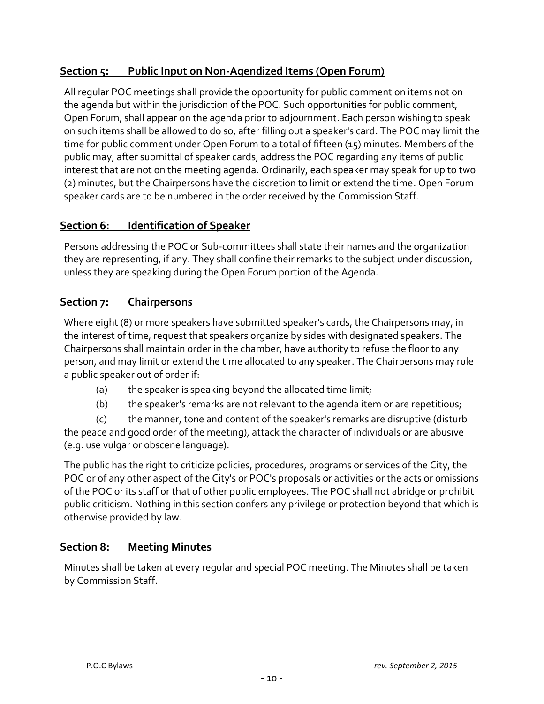#### <span id="page-13-0"></span>**Section 5: Public Input on Non-Agendized Items (Open Forum)**

All regular POC meetings shall provide the opportunity for public comment on items not on the agenda but within the jurisdiction of the POC. Such opportunities for public comment, Open Forum, shall appear on the agenda prior to adjournment. Each person wishing to speak on such items shall be allowed to do so, after filling out a speaker's card. The POC may limit the time for public comment under Open Forum to a total of fifteen (15) minutes. Members of the public may, after submittal of speaker cards, address the POC regarding any items of public interest that are not on the meeting agenda. Ordinarily, each speaker may speak for up to two (2) minutes, but the Chairpersons have the discretion to limit or extend the time. Open Forum speaker cards are to be numbered in the order received by the Commission Staff.

#### <span id="page-13-1"></span>**Section 6: Identification of Speaker**

Persons addressing the POC or Sub-committees shall state their names and the organization they are representing, if any. They shall confine their remarks to the subject under discussion, unless they are speaking during the Open Forum portion of the Agenda.

#### <span id="page-13-2"></span>**Section 7: Chairpersons**

Where eight (8) or more speakers have submitted speaker's cards, the Chairpersons may, in the interest of time, request that speakers organize by sides with designated speakers. The Chairpersons shall maintain order in the chamber, have authority to refuse the floor to any person, and may limit or extend the time allocated to any speaker. The Chairpersons may rule a public speaker out of order if:

- (a) the speaker is speaking beyond the allocated time limit;
- (b) the speaker's remarks are not relevant to the agenda item or are repetitious;

(c) the manner, tone and content of the speaker's remarks are disruptive (disturb the peace and good order of the meeting), attack the character of individuals or are abusive (e.g. use vulgar or obscene language).

The public has the right to criticize policies, procedures, programs or services of the City, the POC or of any other aspect of the City's or POC's proposals or activities or the acts or omissions of the POC or its staff or that of other public employees. The POC shall not abridge or prohibit public criticism. Nothing in this section confers any privilege or protection beyond that which is otherwise provided by law.

#### <span id="page-13-3"></span>**Section 8: Meeting Minutes**

Minutes shall be taken at every regular and special POC meeting. The Minutes shall be taken by Commission Staff.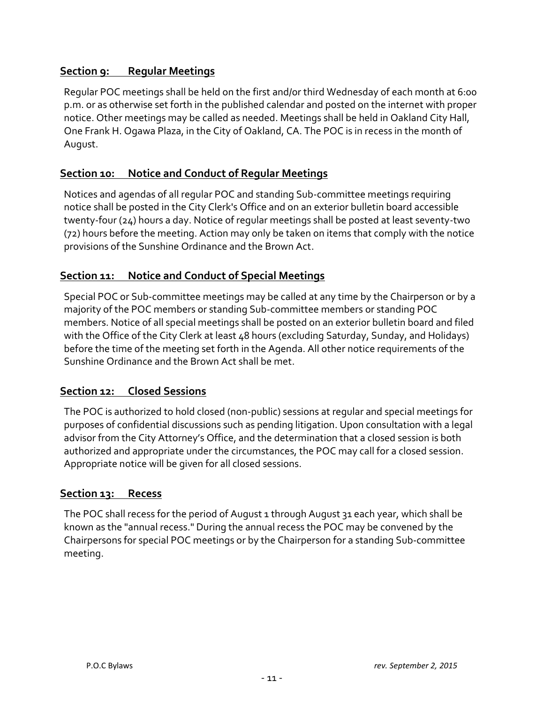#### <span id="page-14-0"></span>**Section 9: Regular Meetings**

Regular POC meetings shall be held on the first and/or third Wednesday of each month at 6:00 p.m. or as otherwise set forth in the published calendar and posted on the internet with proper notice. Other meetings may be called as needed. Meetings shall be held in Oakland City Hall, One Frank H. Ogawa Plaza, in the City of Oakland, CA. The POC is in recess in the month of August.

#### <span id="page-14-1"></span>**Section 10: Notice and Conduct of Regular Meetings**

Notices and agendas of all regular POC and standing Sub-committee meetings requiring notice shall be posted in the City Clerk's Office and on an exterior bulletin board accessible twenty-four (24) hours a day. Notice of regular meetings shall be posted at least seventy-two (72) hours before the meeting. Action may only be taken on items that comply with the notice provisions of the Sunshine Ordinance and the Brown Act.

#### <span id="page-14-2"></span>**Section 11: Notice and Conduct of Special Meetings**

Special POC or Sub-committee meetings may be called at any time by the Chairperson or by a majority of the POC members or standing Sub-committee members or standing POC members. Notice of all special meetings shall be posted on an exterior bulletin board and filed with the Office of the City Clerk at least 48 hours (excluding Saturday, Sunday, and Holidays) before the time of the meeting set forth in the Agenda. All other notice requirements of the Sunshine Ordinance and the Brown Act shall be met.

#### <span id="page-14-3"></span>**Section 12: Closed Sessions**

The POC is authorized to hold closed (non-public) sessions at regular and special meetings for purposes of confidential discussions such as pending litigation. Upon consultation with a legal advisor from the City Attorney's Office, and the determination that a closed session is both authorized and appropriate under the circumstances, the POC may call for a closed session. Appropriate notice will be given for all closed sessions.

#### <span id="page-14-4"></span>**Section 13: Recess**

The POC shall recess for the period of August 1 through August 31 each year, which shall be known as the "annual recess." During the annual recess the POC may be convened by the Chairpersons for special POC meetings or by the Chairperson for a standing Sub-committee meeting.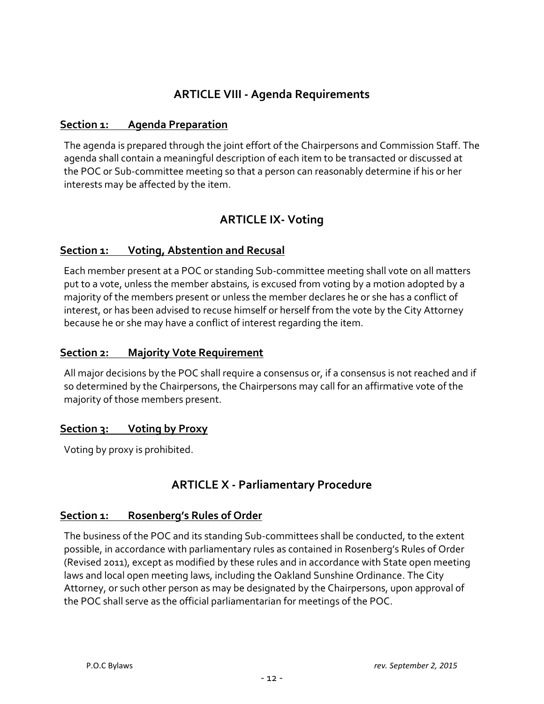### **ARTICLE VIII - Agenda Requirements**

#### <span id="page-15-1"></span><span id="page-15-0"></span>**Section 1: Agenda Preparation**

The agenda is prepared through the joint effort of the Chairpersons and Commission Staff. The agenda shall contain a meaningful description of each item to be transacted or discussed at the POC or Sub-committee meeting so that a person can reasonably determine if his or her interests may be affected by the item.

## **ARTICLE IX- Voting**

#### <span id="page-15-3"></span><span id="page-15-2"></span>**Section 1: Voting, Abstention and Recusal**

Each member present at a POC or standing Sub-committee meeting shall vote on all matters put to a vote, unless the member abstains*,* is excused from voting by a motion adopted by a majority of the members present or unless the member declares he or she has a conflict of interest, or has been advised to recuse himself or herself from the vote by the City Attorney because he or she may have a conflict of interest regarding the item.

#### <span id="page-15-4"></span>**Section 2: Majority Vote Requirement**

All major decisions by the POC shall require a consensus or, if a consensus is not reached and if so determined by the Chairpersons, the Chairpersons may call for an affirmative vote of the majority of those members present.

#### **Section 3: Voting by Proxy**

<span id="page-15-5"></span>Voting by proxy is prohibited.

#### **ARTICLE X - Parliamentary Procedure**

#### **Section 1: Rosenberg's Rules of Order**

The business of the POC and its standing Sub-committees shall be conducted, to the extent possible, in accordance with parliamentary rules as contained in Rosenberg's Rules of Order (Revised 2011), except as modified by these rules and in accordance with State open meeting laws and local open meeting laws, including the Oakland Sunshine Ordinance. The City Attorney, or such other person as may be designated by the Chairpersons, upon approval of the POC shall serve as the official parliamentarian for meetings of the POC.